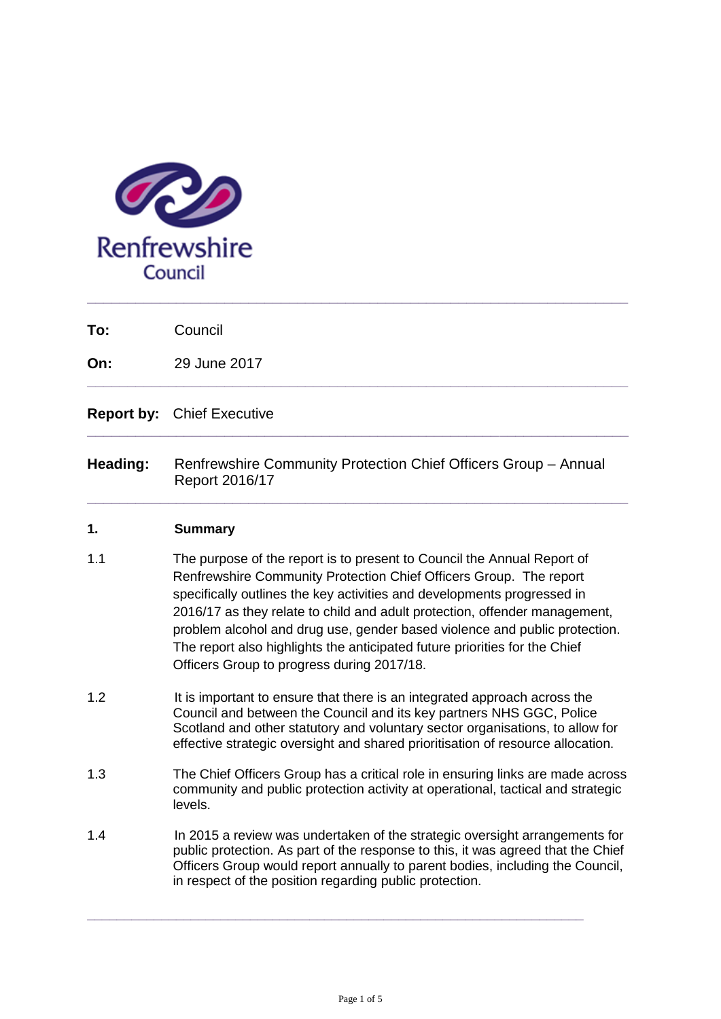

**To:** Council

**On:** 29 June 2017

**Report by:** Chief Executive

**Heading:** Renfrewshire Community Protection Chief Officers Group – Annual Report 2016/17

**\_\_\_\_\_\_\_\_\_\_\_\_\_\_\_\_\_\_\_\_\_\_\_\_\_\_\_\_\_\_\_\_\_\_\_\_\_\_\_\_\_\_\_\_\_\_\_\_\_\_\_\_\_\_\_\_\_\_\_\_\_\_\_\_\_\_\_**

**\_\_\_\_\_\_\_\_\_\_\_\_\_\_\_\_\_\_\_\_\_\_\_\_\_\_\_\_\_\_\_\_\_\_\_\_\_\_\_\_\_\_\_\_\_\_\_\_\_\_\_\_\_\_\_\_\_\_\_\_\_\_\_\_\_\_\_**

**\_\_\_\_\_\_\_\_\_\_\_\_\_\_\_\_\_\_\_\_\_\_\_\_\_\_\_\_\_\_\_\_\_\_\_\_\_\_\_\_\_\_\_\_\_\_\_\_\_\_\_\_\_\_\_\_\_\_\_\_\_\_\_\_\_\_\_**

**\_\_\_\_\_\_\_\_\_\_\_\_\_\_\_\_\_\_\_\_\_\_\_\_\_\_\_\_\_\_\_\_\_\_\_\_\_\_\_\_\_\_\_\_\_\_\_\_\_\_\_\_\_\_\_\_\_\_\_\_\_\_\_\_\_\_\_**

#### **1. Summary**

- 1.1 The purpose of the report is to present to Council the Annual Report of Renfrewshire Community Protection Chief Officers Group. The report specifically outlines the key activities and developments progressed in 2016/17 as they relate to child and adult protection, offender management, problem alcohol and drug use, gender based violence and public protection. The report also highlights the anticipated future priorities for the Chief Officers Group to progress during 2017/18.
- 1.2 It is important to ensure that there is an integrated approach across the Council and between the Council and its key partners NHS GGC, Police Scotland and other statutory and voluntary sector organisations, to allow for effective strategic oversight and shared prioritisation of resource allocation.
- 1.3 The Chief Officers Group has a critical role in ensuring links are made across community and public protection activity at operational, tactical and strategic levels.
- 1.4 In 2015 a review was undertaken of the strategic oversight arrangements for public protection. As part of the response to this, it was agreed that the Chief Officers Group would report annually to parent bodies, including the Council, in respect of the position regarding public protection.

**\_\_\_\_\_\_\_\_\_\_\_\_\_\_\_\_\_\_\_\_\_\_\_\_\_\_\_\_\_\_\_\_\_\_\_\_\_\_\_\_\_\_\_\_\_\_\_\_\_\_\_\_\_\_\_\_\_\_\_\_\_\_\_\_\_\_\_**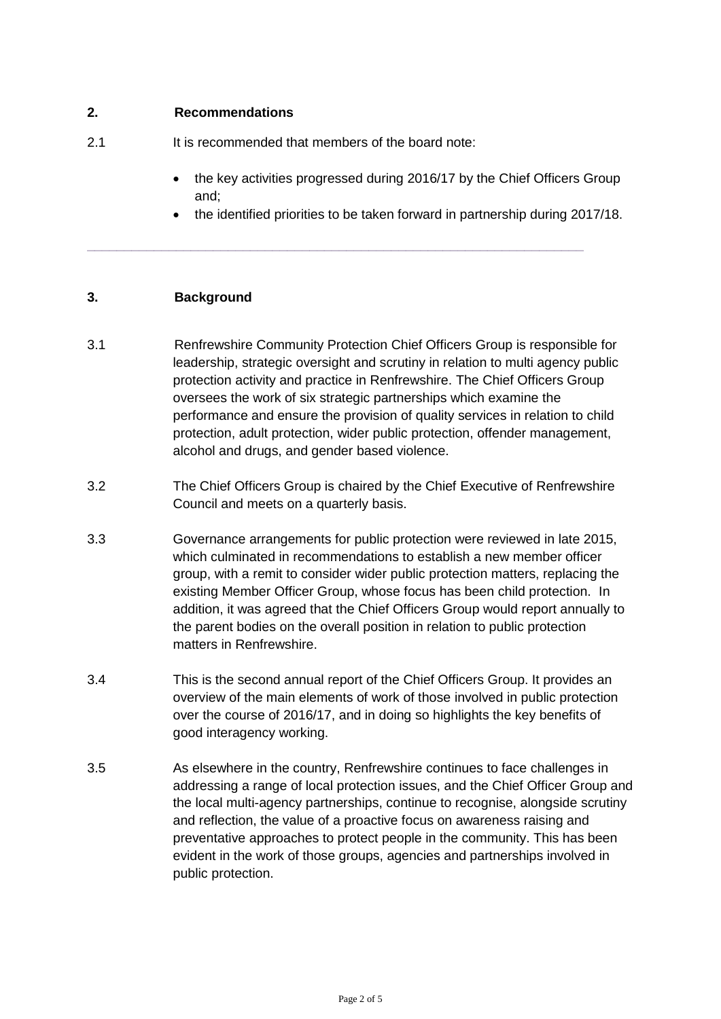#### **2. Recommendations**

- 2.1 It is recommended that members of the board note:
	- the key activities progressed during 2016/17 by the Chief Officers Group and;
	- the identified priorities to be taken forward in partnership during 2017/18.

#### **3. Background**

3.1 Renfrewshire Community Protection Chief Officers Group is responsible for leadership, strategic oversight and scrutiny in relation to multi agency public protection activity and practice in Renfrewshire. The Chief Officers Group oversees the work of six strategic partnerships which examine the performance and ensure the provision of quality services in relation to child protection, adult protection, wider public protection, offender management, alcohol and drugs, and gender based violence.

**\_\_\_\_\_\_\_\_\_\_\_\_\_\_\_\_\_\_\_\_\_\_\_\_\_\_\_\_\_\_\_\_\_\_\_\_\_\_\_\_\_\_\_\_\_\_\_\_\_\_\_\_\_\_\_\_\_\_\_\_\_\_\_\_\_\_\_**

- 3.2 The Chief Officers Group is chaired by the Chief Executive of Renfrewshire Council and meets on a quarterly basis.
- 3.3 Governance arrangements for public protection were reviewed in late 2015, which culminated in recommendations to establish a new member officer group, with a remit to consider wider public protection matters, replacing the existing Member Officer Group, whose focus has been child protection. In addition, it was agreed that the Chief Officers Group would report annually to the parent bodies on the overall position in relation to public protection matters in Renfrewshire.
- 3.4 This is the second annual report of the Chief Officers Group. It provides an overview of the main elements of work of those involved in public protection over the course of 2016/17, and in doing so highlights the key benefits of good interagency working.
- 3.5 As elsewhere in the country, Renfrewshire continues to face challenges in addressing a range of local protection issues, and the Chief Officer Group and the local multi-agency partnerships, continue to recognise, alongside scrutiny and reflection, the value of a proactive focus on awareness raising and preventative approaches to protect people in the community. This has been evident in the work of those groups, agencies and partnerships involved in public protection.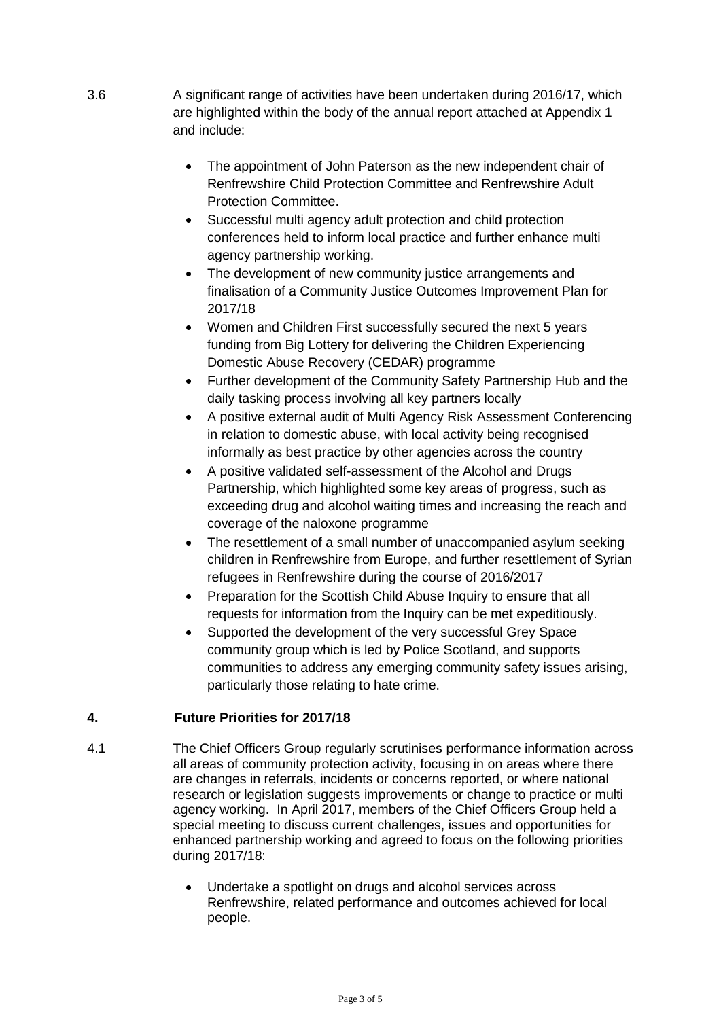- 3.6 A significant range of activities have been undertaken during 2016/17, which are highlighted within the body of the annual report attached at Appendix 1 and include:
	- The appointment of John Paterson as the new independent chair of Renfrewshire Child Protection Committee and Renfrewshire Adult Protection Committee.
	- Successful multi agency adult protection and child protection conferences held to inform local practice and further enhance multi agency partnership working.
	- The development of new community justice arrangements and finalisation of a Community Justice Outcomes Improvement Plan for 2017/18
	- Women and Children First successfully secured the next 5 years funding from Big Lottery for delivering the Children Experiencing Domestic Abuse Recovery (CEDAR) programme
	- Further development of the Community Safety Partnership Hub and the daily tasking process involving all key partners locally
	- A positive external audit of Multi Agency Risk Assessment Conferencing in relation to domestic abuse, with local activity being recognised informally as best practice by other agencies across the country
	- A positive validated self-assessment of the Alcohol and Drugs Partnership, which highlighted some key areas of progress, such as exceeding drug and alcohol waiting times and increasing the reach and coverage of the naloxone programme
	- The resettlement of a small number of unaccompanied asylum seeking children in Renfrewshire from Europe, and further resettlement of Syrian refugees in Renfrewshire during the course of 2016/2017
	- Preparation for the Scottish Child Abuse Inquiry to ensure that all requests for information from the Inquiry can be met expeditiously.
	- Supported the development of the very successful Grey Space community group which is led by Police Scotland, and supports communities to address any emerging community safety issues arising, particularly those relating to hate crime.

#### **4. Future Priorities for 2017/18**

- 4.1 The Chief Officers Group regularly scrutinises performance information across all areas of community protection activity, focusing in on areas where there are changes in referrals, incidents or concerns reported, or where national research or legislation suggests improvements or change to practice or multi agency working. In April 2017, members of the Chief Officers Group held a special meeting to discuss current challenges, issues and opportunities for enhanced partnership working and agreed to focus on the following priorities during 2017/18:
	- Undertake a spotlight on drugs and alcohol services across Renfrewshire, related performance and outcomes achieved for local people.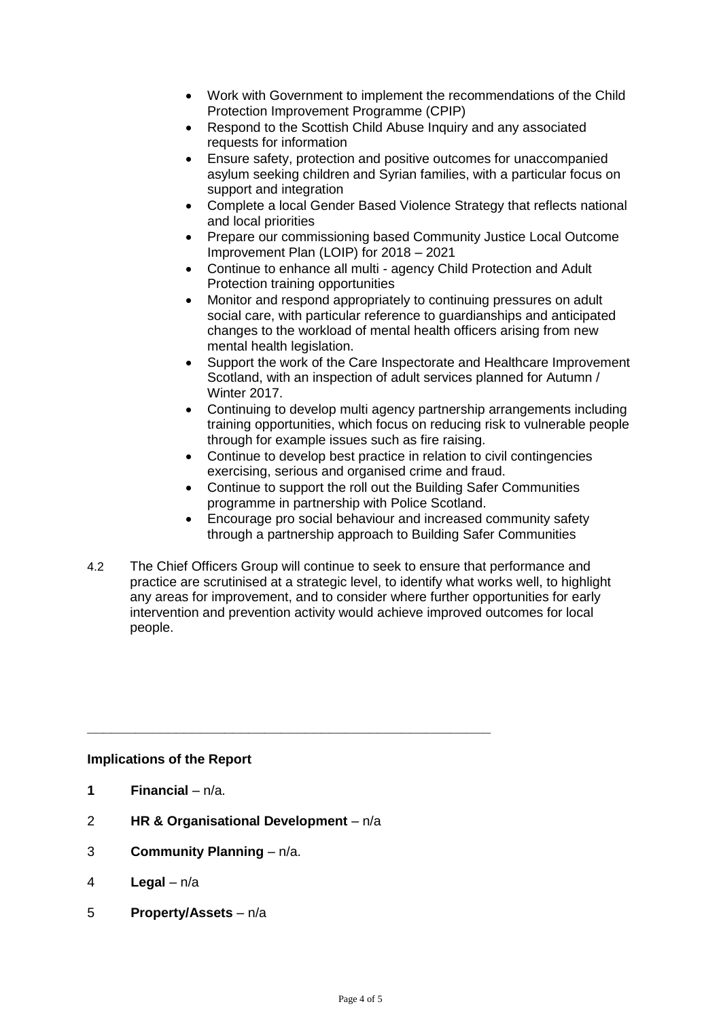- Work with Government to implement the recommendations of the Child Protection Improvement Programme (CPIP)
- Respond to the Scottish Child Abuse Inquiry and any associated requests for information
- Ensure safety, protection and positive outcomes for unaccompanied asylum seeking children and Syrian families, with a particular focus on support and integration
- Complete a local Gender Based Violence Strategy that reflects national and local priorities
- Prepare our commissioning based Community Justice Local Outcome Improvement Plan (LOIP) for 2018 – 2021
- Continue to enhance all multi agency Child Protection and Adult Protection training opportunities
- Monitor and respond appropriately to continuing pressures on adult social care, with particular reference to guardianships and anticipated changes to the workload of mental health officers arising from new mental health legislation.
- Support the work of the Care Inspectorate and Healthcare Improvement Scotland, with an inspection of adult services planned for Autumn / Winter 2017.
- Continuing to develop multi agency partnership arrangements including training opportunities, which focus on reducing risk to vulnerable people through for example issues such as fire raising.
- Continue to develop best practice in relation to civil contingencies exercising, serious and organised crime and fraud.
- Continue to support the roll out the Building Safer Communities programme in partnership with Police Scotland.
- Encourage pro social behaviour and increased community safety through a partnership approach to Building Safer Communities
- 4.2 The Chief Officers Group will continue to seek to ensure that performance and practice are scrutinised at a strategic level, to identify what works well, to highlight any areas for improvement, and to consider where further opportunities for early intervention and prevention activity would achieve improved outcomes for local people.

#### **Implications of the Report**

- **1 Financial**  $n/a$ .
- 2 **HR & Organisational Development**  n/a

**\_\_\_\_\_\_\_\_\_\_\_\_\_\_\_\_\_\_\_\_\_\_\_\_\_\_\_\_\_\_\_\_\_\_\_\_\_\_\_\_\_\_\_\_\_\_\_\_\_\_**

- 3 **Community Planning**  n/a.
- 4 **Legal**  n/a
- 5 **Property/Assets**  n/a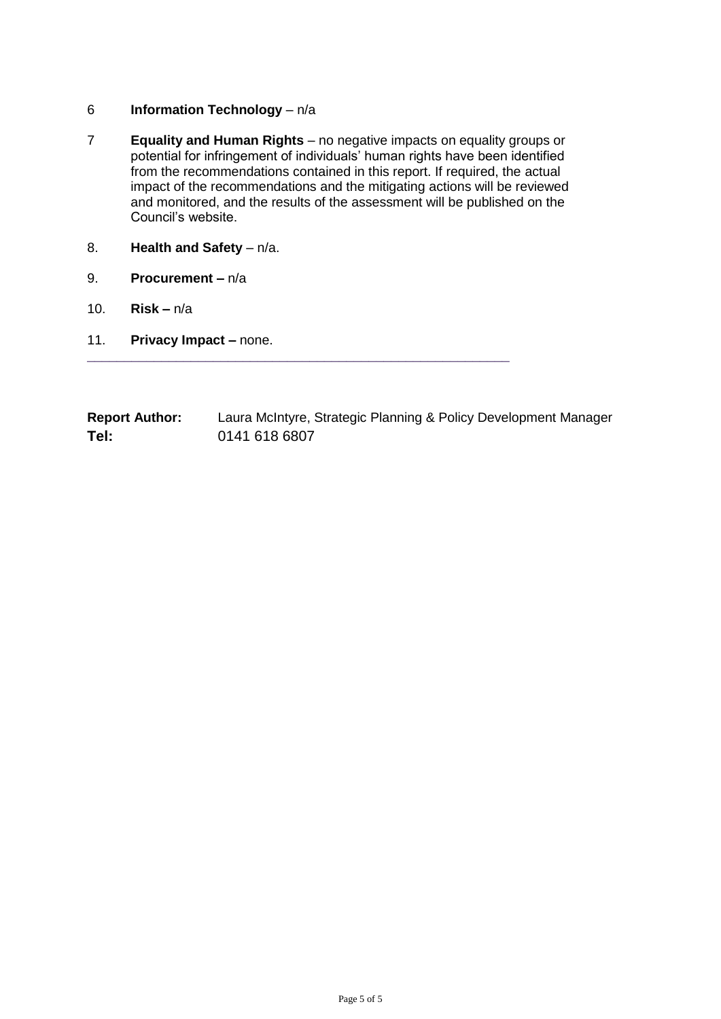#### 6 **Information Technology** – n/a

7 **Equality and Human Rights** – no negative impacts on equality groups or potential for infringement of individuals' human rights have been identified from the recommendations contained in this report. If required, the actual impact of the recommendations and the mitigating actions will be reviewed and monitored, and the results of the assessment will be published on the Council's website.

\_\_\_\_\_\_\_\_\_\_\_\_\_\_\_\_\_\_\_\_\_\_\_\_\_\_\_\_\_\_\_\_\_\_\_\_\_\_\_\_\_\_\_\_\_\_\_\_\_\_\_\_\_\_\_\_\_

- 8. **Health and Safety** n/a.
- 9. **Procurement –** n/a
- 10. **Risk –** n/a
- 11. **Privacy Impact –** none.

| <b>Report Author:</b> | Laura McIntyre, Strategic Planning & Policy Development Manager |
|-----------------------|-----------------------------------------------------------------|
| Tel:                  | 0141 618 6807                                                   |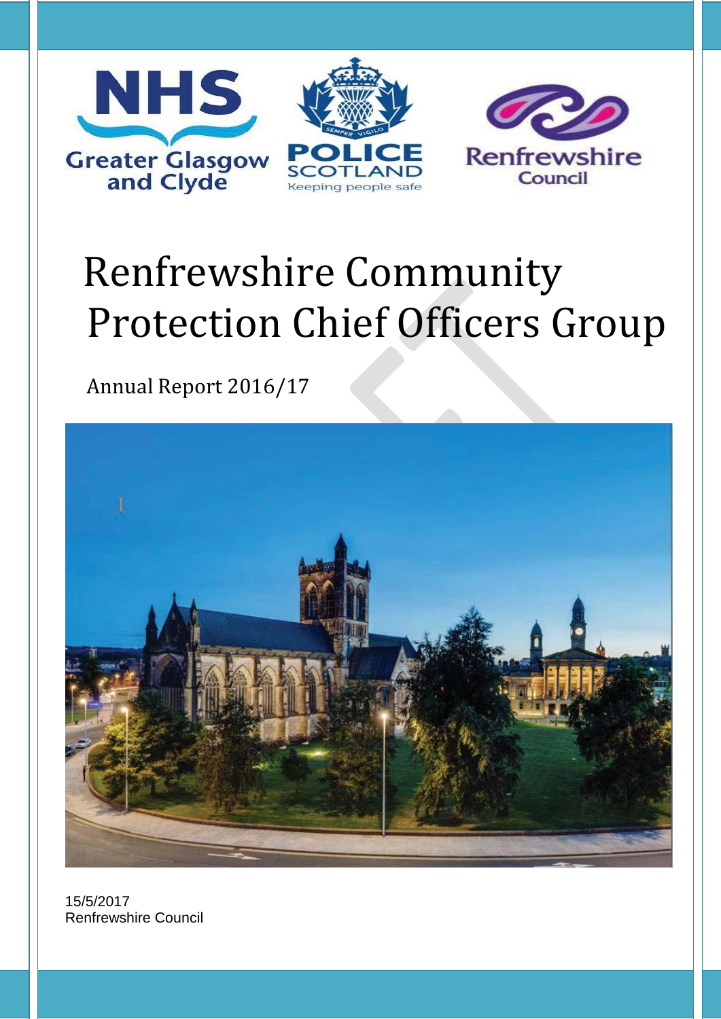

# Renfrewshire Community Protection Chief Officers Group

Annual Report 2016/17



15/5/2017 Renfrewshire Council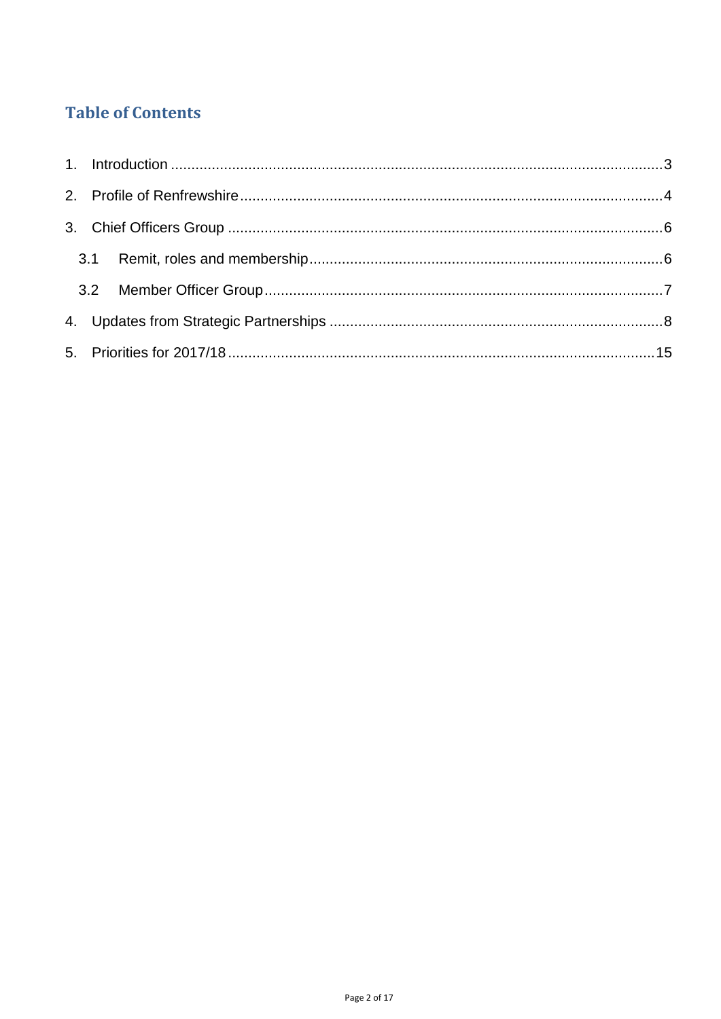# **Table of Contents**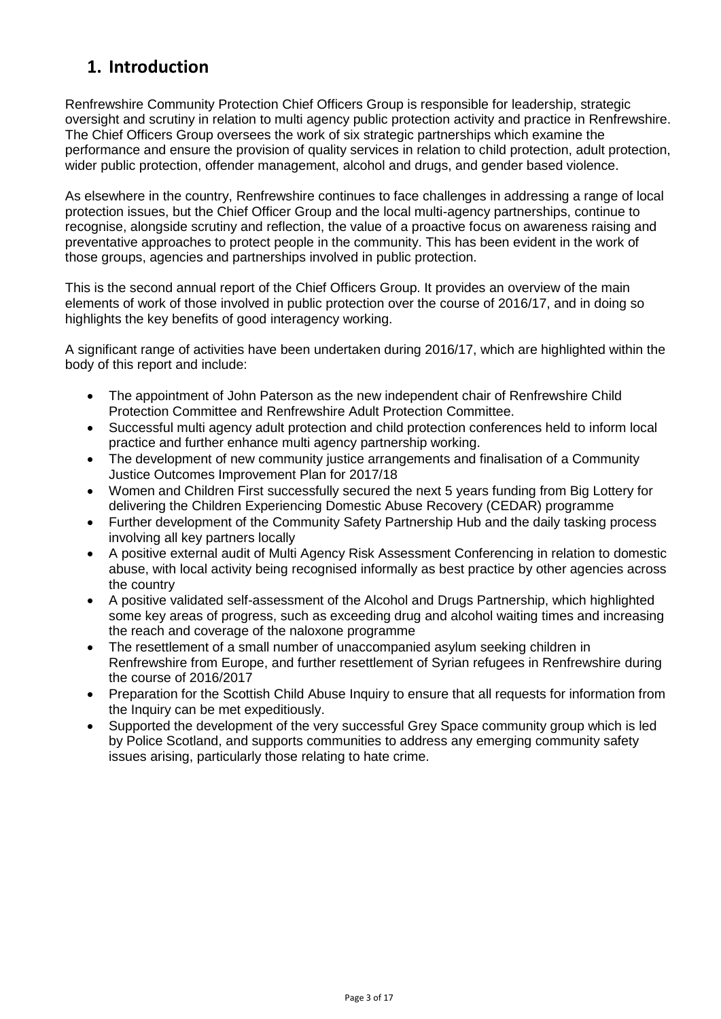# <span id="page-8-0"></span>**1. Introduction**

Renfrewshire Community Protection Chief Officers Group is responsible for leadership, strategic oversight and scrutiny in relation to multi agency public protection activity and practice in Renfrewshire. The Chief Officers Group oversees the work of six strategic partnerships which examine the performance and ensure the provision of quality services in relation to child protection, adult protection, wider public protection, offender management, alcohol and drugs, and gender based violence.

As elsewhere in the country, Renfrewshire continues to face challenges in addressing a range of local protection issues, but the Chief Officer Group and the local multi-agency partnerships, continue to recognise, alongside scrutiny and reflection, the value of a proactive focus on awareness raising and preventative approaches to protect people in the community. This has been evident in the work of those groups, agencies and partnerships involved in public protection.

This is the second annual report of the Chief Officers Group. It provides an overview of the main elements of work of those involved in public protection over the course of 2016/17, and in doing so highlights the key benefits of good interagency working.

A significant range of activities have been undertaken during 2016/17, which are highlighted within the body of this report and include:

- The appointment of John Paterson as the new independent chair of Renfrewshire Child Protection Committee and Renfrewshire Adult Protection Committee.
- Successful multi agency adult protection and child protection conferences held to inform local practice and further enhance multi agency partnership working.
- The development of new community justice arrangements and finalisation of a Community Justice Outcomes Improvement Plan for 2017/18
- Women and Children First successfully secured the next 5 years funding from Big Lottery for delivering the Children Experiencing Domestic Abuse Recovery (CEDAR) programme
- Further development of the Community Safety Partnership Hub and the daily tasking process involving all key partners locally
- A positive external audit of Multi Agency Risk Assessment Conferencing in relation to domestic abuse, with local activity being recognised informally as best practice by other agencies across the country
- A positive validated self-assessment of the Alcohol and Drugs Partnership, which highlighted some key areas of progress, such as exceeding drug and alcohol waiting times and increasing the reach and coverage of the naloxone programme
- The resettlement of a small number of unaccompanied asylum seeking children in Renfrewshire from Europe, and further resettlement of Syrian refugees in Renfrewshire during the course of 2016/2017
- Preparation for the Scottish Child Abuse Inquiry to ensure that all requests for information from the Inquiry can be met expeditiously.
- Supported the development of the very successful Grey Space community group which is led by Police Scotland, and supports communities to address any emerging community safety issues arising, particularly those relating to hate crime.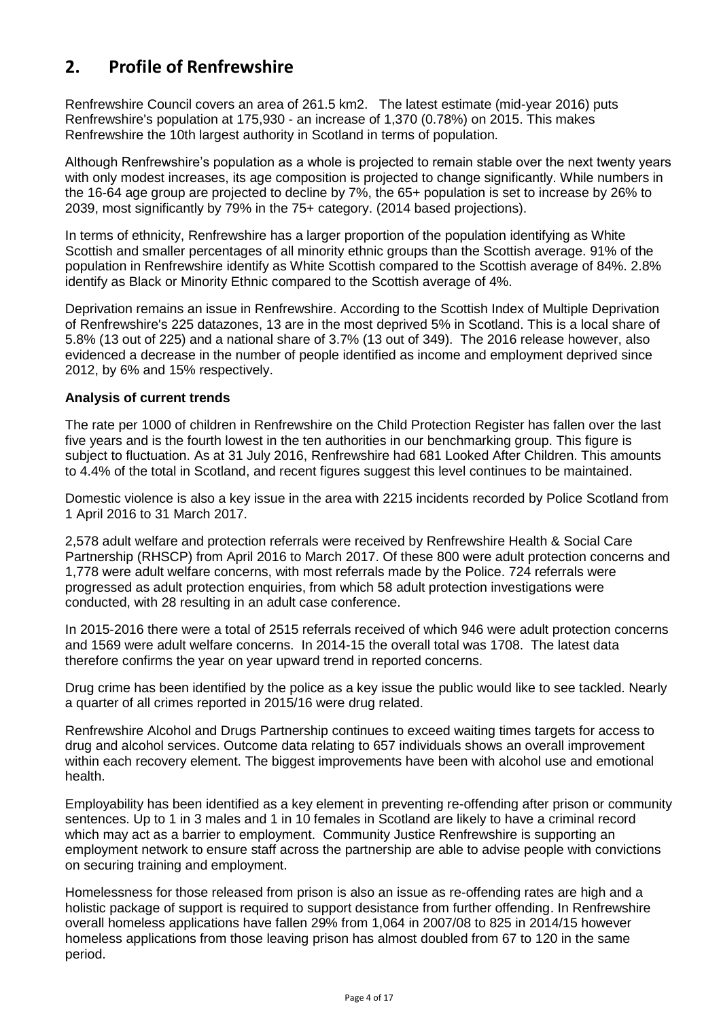# <span id="page-9-0"></span>**2. Profile of Renfrewshire**

Renfrewshire Council covers an area of 261.5 km2. The latest estimate (mid-year 2016) puts Renfrewshire's population at 175,930 - an increase of 1,370 (0.78%) on 2015. This makes Renfrewshire the 10th largest authority in Scotland in terms of population.

Although Renfrewshire's population as a whole is projected to remain stable over the next twenty years with only modest increases, its age composition is projected to change significantly. While numbers in the 16-64 age group are projected to decline by 7%, the 65+ population is set to increase by 26% to 2039, most significantly by 79% in the 75+ category. (2014 based projections).

In terms of ethnicity, Renfrewshire has a larger proportion of the population identifying as White Scottish and smaller percentages of all minority ethnic groups than the Scottish average. 91% of the population in Renfrewshire identify as White Scottish compared to the Scottish average of 84%. 2.8% identify as Black or Minority Ethnic compared to the Scottish average of 4%.

Deprivation remains an issue in Renfrewshire. According to the Scottish Index of Multiple Deprivation of Renfrewshire's 225 datazones, 13 are in the most deprived 5% in Scotland. This is a local share of 5.8% (13 out of 225) and a national share of 3.7% (13 out of 349). The 2016 release however, also evidenced a decrease in the number of people identified as income and employment deprived since 2012, by 6% and 15% respectively.

#### **Analysis of current trends**

The rate per 1000 of children in Renfrewshire on the Child Protection Register has fallen over the last five years and is the fourth lowest in the ten authorities in our benchmarking group. This figure is subject to fluctuation. As at 31 July 2016, Renfrewshire had 681 Looked After Children. This amounts to 4.4% of the total in Scotland, and recent figures suggest this level continues to be maintained.

Domestic violence is also a key issue in the area with 2215 incidents recorded by Police Scotland from 1 April 2016 to 31 March 2017.

2,578 adult welfare and protection referrals were received by Renfrewshire Health & Social Care Partnership (RHSCP) from April 2016 to March 2017. Of these 800 were adult protection concerns and 1,778 were adult welfare concerns, with most referrals made by the Police. 724 referrals were progressed as adult protection enquiries, from which 58 adult protection investigations were conducted, with 28 resulting in an adult case conference.

In 2015-2016 there were a total of 2515 referrals received of which 946 were adult protection concerns and 1569 were adult welfare concerns. In 2014-15 the overall total was 1708. The latest data therefore confirms the year on year upward trend in reported concerns.

Drug crime has been identified by the police as a key issue the public would like to see tackled. Nearly a quarter of all crimes reported in 2015/16 were drug related.

Renfrewshire Alcohol and Drugs Partnership continues to exceed waiting times targets for access to drug and alcohol services. Outcome data relating to 657 individuals shows an overall improvement within each recovery element. The biggest improvements have been with alcohol use and emotional health.

Employability has been identified as a key element in preventing re-offending after prison or community sentences. Up to 1 in 3 males and 1 in 10 females in Scotland are likely to have a criminal record which may act as a barrier to employment. Community Justice Renfrewshire is supporting an employment network to ensure staff across the partnership are able to advise people with convictions on securing training and employment.

Homelessness for those released from prison is also an issue as re-offending rates are high and a holistic package of support is required to support desistance from further offending. In Renfrewshire overall homeless applications have fallen 29% from 1,064 in 2007/08 to 825 in 2014/15 however homeless applications from those leaving prison has almost doubled from 67 to 120 in the same period.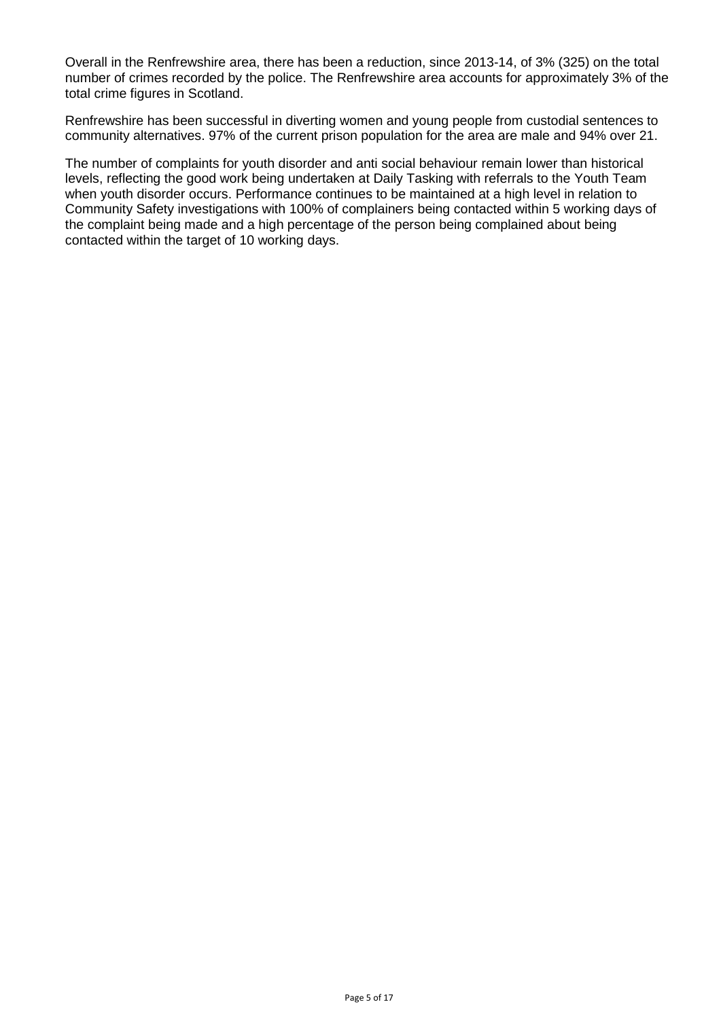Overall in the Renfrewshire area, there has been a reduction, since 2013-14, of 3% (325) on the total number of crimes recorded by the police. The Renfrewshire area accounts for approximately 3% of the total crime figures in Scotland.

Renfrewshire has been successful in diverting women and young people from custodial sentences to community alternatives. 97% of the current prison population for the area are male and 94% over 21.

The number of complaints for youth disorder and anti social behaviour remain lower than historical levels, reflecting the good work being undertaken at Daily Tasking with referrals to the Youth Team when youth disorder occurs. Performance continues to be maintained at a high level in relation to Community Safety investigations with 100% of complainers being contacted within 5 working days of the complaint being made and a high percentage of the person being complained about being contacted within the target of 10 working days.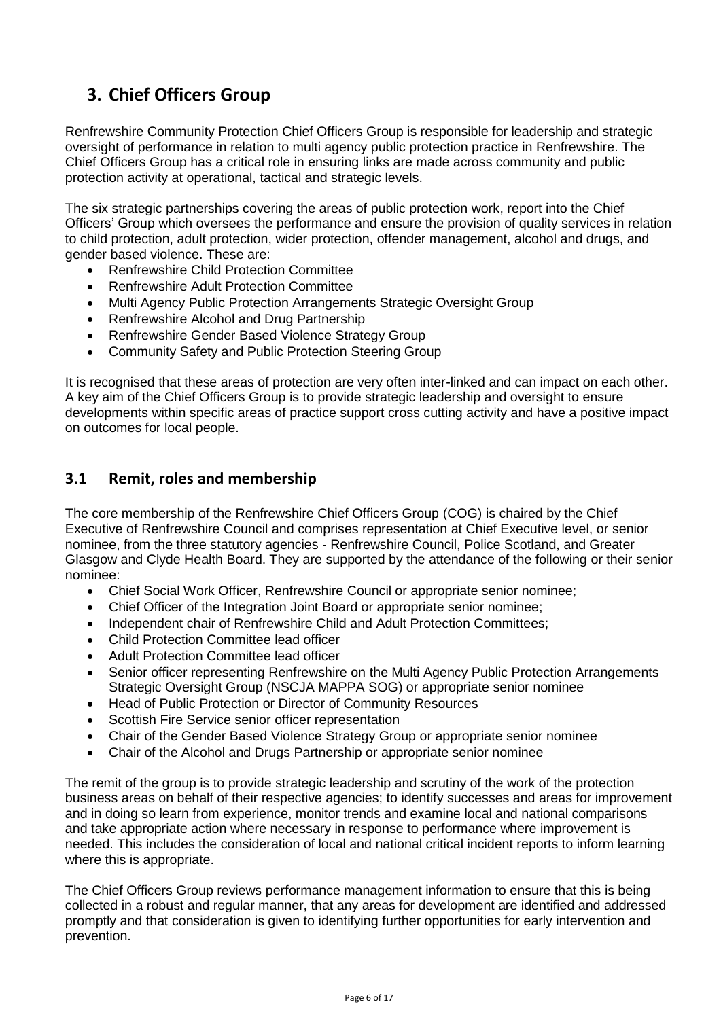# <span id="page-11-0"></span>**3. Chief Officers Group**

Renfrewshire Community Protection Chief Officers Group is responsible for leadership and strategic oversight of performance in relation to multi agency public protection practice in Renfrewshire. The Chief Officers Group has a critical role in ensuring links are made across community and public protection activity at operational, tactical and strategic levels.

The six strategic partnerships covering the areas of public protection work, report into the Chief Officers' Group which oversees the performance and ensure the provision of quality services in relation to child protection, adult protection, wider protection, offender management, alcohol and drugs, and gender based violence. These are:

- Renfrewshire Child Protection Committee
- Renfrewshire Adult Protection Committee
- Multi Agency Public Protection Arrangements Strategic Oversight Group
- Renfrewshire Alcohol and Drug Partnership
- Renfrewshire Gender Based Violence Strategy Group
- Community Safety and Public Protection Steering Group

It is recognised that these areas of protection are very often inter-linked and can impact on each other. A key aim of the Chief Officers Group is to provide strategic leadership and oversight to ensure developments within specific areas of practice support cross cutting activity and have a positive impact on outcomes for local people.

## <span id="page-11-1"></span>**3.1 Remit, roles and membership**

The core membership of the Renfrewshire Chief Officers Group (COG) is chaired by the Chief Executive of Renfrewshire Council and comprises representation at Chief Executive level, or senior nominee, from the three statutory agencies - Renfrewshire Council, Police Scotland, and Greater Glasgow and Clyde Health Board. They are supported by the attendance of the following or their senior nominee:

- Chief Social Work Officer, Renfrewshire Council or appropriate senior nominee;
- Chief Officer of the Integration Joint Board or appropriate senior nominee;
- Independent chair of Renfrewshire Child and Adult Protection Committees;
- Child Protection Committee lead officer
- Adult Protection Committee lead officer
- Senior officer representing Renfrewshire on the Multi Agency Public Protection Arrangements Strategic Oversight Group (NSCJA MAPPA SOG) or appropriate senior nominee
- Head of Public Protection or Director of Community Resources
- Scottish Fire Service senior officer representation
- Chair of the Gender Based Violence Strategy Group or appropriate senior nominee
- Chair of the Alcohol and Drugs Partnership or appropriate senior nominee

The remit of the group is to provide strategic leadership and scrutiny of the work of the protection business areas on behalf of their respective agencies; to identify successes and areas for improvement and in doing so learn from experience, monitor trends and examine local and national comparisons and take appropriate action where necessary in response to performance where improvement is needed. This includes the consideration of local and national critical incident reports to inform learning where this is appropriate.

The Chief Officers Group reviews performance management information to ensure that this is being collected in a robust and regular manner, that any areas for development are identified and addressed promptly and that consideration is given to identifying further opportunities for early intervention and prevention.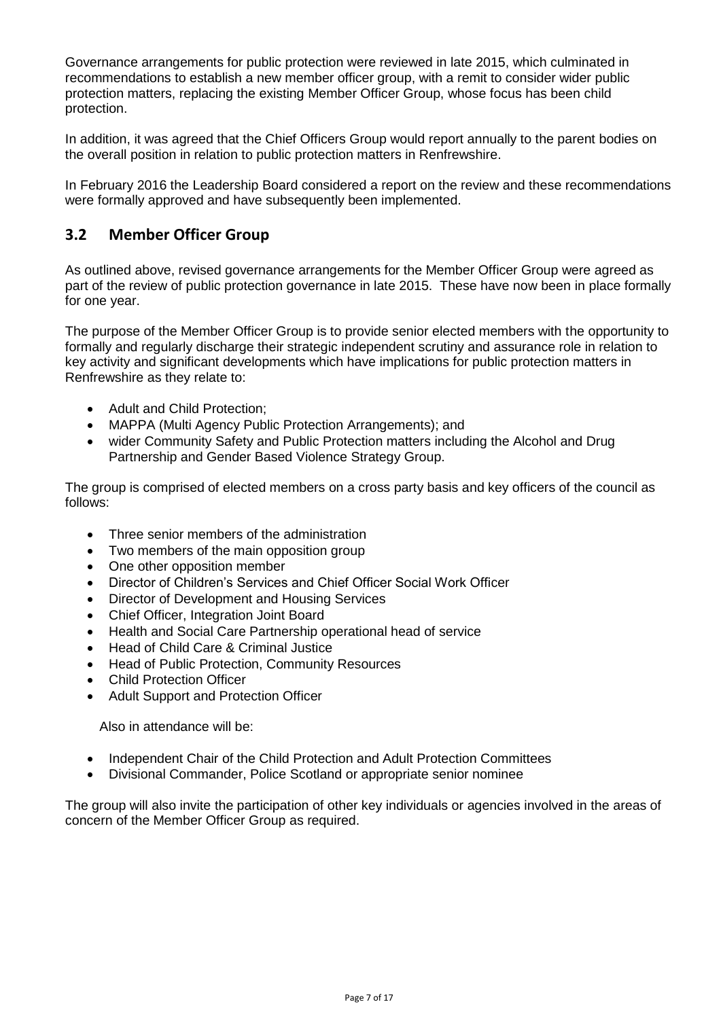Governance arrangements for public protection were reviewed in late 2015, which culminated in recommendations to establish a new member officer group, with a remit to consider wider public protection matters, replacing the existing Member Officer Group, whose focus has been child protection.

In addition, it was agreed that the Chief Officers Group would report annually to the parent bodies on the overall position in relation to public protection matters in Renfrewshire.

In February 2016 the Leadership Board considered a report on the review and these recommendations were formally approved and have subsequently been implemented.

#### <span id="page-12-0"></span>**3.2 Member Officer Group**

As outlined above, revised governance arrangements for the Member Officer Group were agreed as part of the review of public protection governance in late 2015. These have now been in place formally for one year.

The purpose of the Member Officer Group is to provide senior elected members with the opportunity to formally and regularly discharge their strategic independent scrutiny and assurance role in relation to key activity and significant developments which have implications for public protection matters in Renfrewshire as they relate to:

- Adult and Child Protection;
- MAPPA (Multi Agency Public Protection Arrangements); and
- wider Community Safety and Public Protection matters including the Alcohol and Drug Partnership and Gender Based Violence Strategy Group.

The group is comprised of elected members on a cross party basis and key officers of the council as follows:

- Three senior members of the administration
- Two members of the main opposition group
- One other opposition member
- Director of Children's Services and Chief Officer Social Work Officer
- Director of Development and Housing Services
- Chief Officer, Integration Joint Board
- Health and Social Care Partnership operational head of service
- Head of Child Care & Criminal Justice
- Head of Public Protection, Community Resources
- Child Protection Officer
- Adult Support and Protection Officer

Also in attendance will be:

- Independent Chair of the Child Protection and Adult Protection Committees
- Divisional Commander, Police Scotland or appropriate senior nominee

The group will also invite the participation of other key individuals or agencies involved in the areas of concern of the Member Officer Group as required.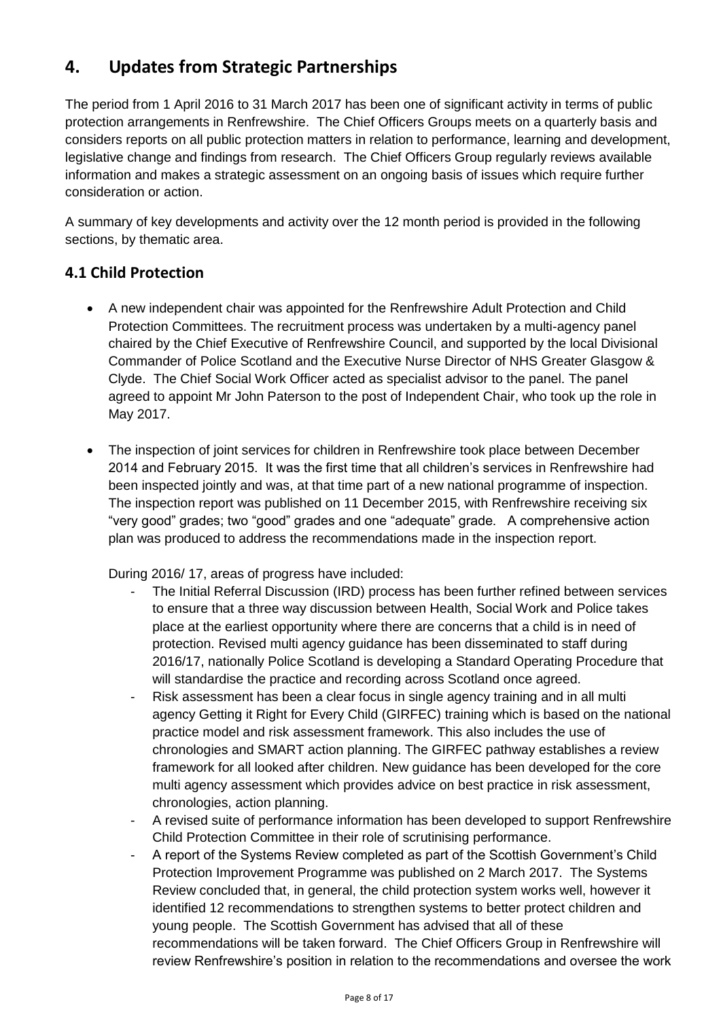# <span id="page-13-0"></span>**4. Updates from Strategic Partnerships**

The period from 1 April 2016 to 31 March 2017 has been one of significant activity in terms of public protection arrangements in Renfrewshire. The Chief Officers Groups meets on a quarterly basis and considers reports on all public protection matters in relation to performance, learning and development, legislative change and findings from research. The Chief Officers Group regularly reviews available information and makes a strategic assessment on an ongoing basis of issues which require further consideration or action.

A summary of key developments and activity over the 12 month period is provided in the following sections, by thematic area.

## **4.1 Child Protection**

- A new independent chair was appointed for the Renfrewshire Adult Protection and Child Protection Committees. The recruitment process was undertaken by a multi-agency panel chaired by the Chief Executive of Renfrewshire Council, and supported by the local Divisional Commander of Police Scotland and the Executive Nurse Director of NHS Greater Glasgow & Clyde. The Chief Social Work Officer acted as specialist advisor to the panel. The panel agreed to appoint Mr John Paterson to the post of Independent Chair, who took up the role in May 2017.
- The inspection of joint services for children in Renfrewshire took place between December 2014 and February 2015. It was the first time that all children's services in Renfrewshire had been inspected jointly and was, at that time part of a new national programme of inspection. The inspection report was published on 11 December 2015, with Renfrewshire receiving six "very good" grades; two "good" grades and one "adequate" grade. A comprehensive action plan was produced to address the recommendations made in the inspection report.

During 2016/ 17, areas of progress have included:

- The Initial Referral Discussion (IRD) process has been further refined between services to ensure that a three way discussion between Health, Social Work and Police takes place at the earliest opportunity where there are concerns that a child is in need of protection. Revised multi agency guidance has been disseminated to staff during 2016/17, nationally Police Scotland is developing a Standard Operating Procedure that will standardise the practice and recording across Scotland once agreed.
- Risk assessment has been a clear focus in single agency training and in all multi agency Getting it Right for Every Child (GIRFEC) training which is based on the national practice model and risk assessment framework. This also includes the use of chronologies and SMART action planning. The GIRFEC pathway establishes a review framework for all looked after children. New guidance has been developed for the core multi agency assessment which provides advice on best practice in risk assessment, chronologies, action planning.
- A revised suite of performance information has been developed to support Renfrewshire Child Protection Committee in their role of scrutinising performance.
- A report of the Systems Review completed as part of the Scottish Government's Child Protection Improvement Programme was published on 2 March 2017. The Systems Review concluded that, in general, the child protection system works well, however it identified 12 recommendations to strengthen systems to better protect children and young people. The Scottish Government has advised that all of these recommendations will be taken forward. The Chief Officers Group in Renfrewshire will review Renfrewshire's position in relation to the recommendations and oversee the work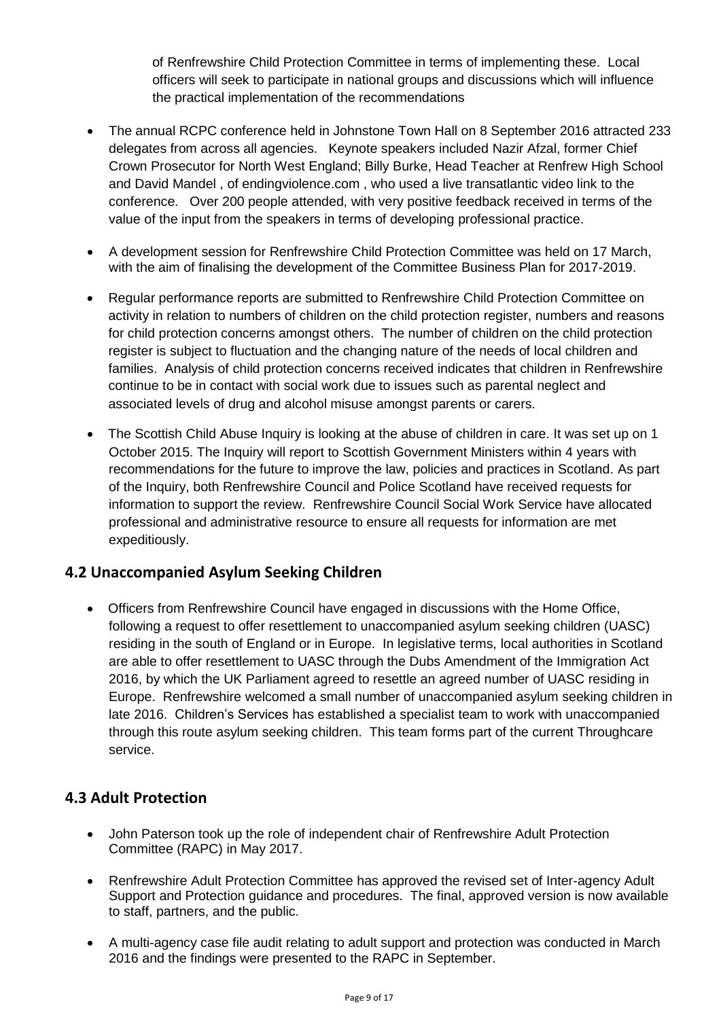of Renfrewshire Child Protection Committee in terms of implementing these. Local officers will seek to participate in national groups and discussions which will influence the practical implementation of the recommendations

- The annual RCPC conference held in Johnstone Town Hall on 8 September 2016 attracted 233 delegates from across all agencies. Keynote speakers included Nazir Afzal, former Chief Crown Prosecutor for North West England; Billy Burke, Head Teacher at Renfrew High School and David Mandel , of endingviolence.com , who used a live transatlantic video link to the conference. Over 200 people attended, with very positive feedback received in terms of the value of the input from the speakers in terms of developing professional practice.
- A development session for Renfrewshire Child Protection Committee was held on 17 March, with the aim of finalising the development of the Committee Business Plan for 2017-2019.
- Regular performance reports are submitted to Renfrewshire Child Protection Committee on activity in relation to numbers of children on the child protection register, numbers and reasons for child protection concerns amongst others. The number of children on the child protection register is subject to fluctuation and the changing nature of the needs of local children and families. Analysis of child protection concerns received indicates that children in Renfrewshire continue to be in contact with social work due to issues such as parental neglect and associated levels of drug and alcohol misuse amongst parents or carers.
- The Scottish Child Abuse Inquiry is looking at the abuse of children in care. It was set up on 1 October 2015. The Inquiry will report to Scottish Government Ministers within 4 years with recommendations for the future to improve the law, policies and practices in Scotland. As part of the Inquiry, both Renfrewshire Council and Police Scotland have received requests for information to support the review. Renfrewshire Council Social Work Service have allocated professional and administrative resource to ensure all requests for information are met expeditiously.

## **4.2 Unaccompanied Asylum Seeking Children**

 Officers from Renfrewshire Council have engaged in discussions with the Home Office, following a request to offer resettlement to unaccompanied asylum seeking children (UASC) residing in the south of England or in Europe. In legislative terms, local authorities in Scotland are able to offer resettlement to UASC through the Dubs Amendment of the Immigration Act 2016, by which the UK Parliament agreed to resettle an agreed number of UASC residing in Europe. Renfrewshire welcomed a small number of unaccompanied asylum seeking children in late 2016. Children's Services has established a specialist team to work with unaccompanied through this route asylum seeking children. This team forms part of the current Throughcare service.

## **4.3 Adult Protection**

- John Paterson took up the role of independent chair of Renfrewshire Adult Protection Committee (RAPC) in May 2017.
- Renfrewshire Adult Protection Committee has approved the revised set of Inter-agency Adult Support and Protection guidance and procedures. The final, approved version is now available to staff, partners, and the public.
- A multi-agency case file audit relating to adult support and protection was conducted in March 2016 and the findings were presented to the RAPC in September.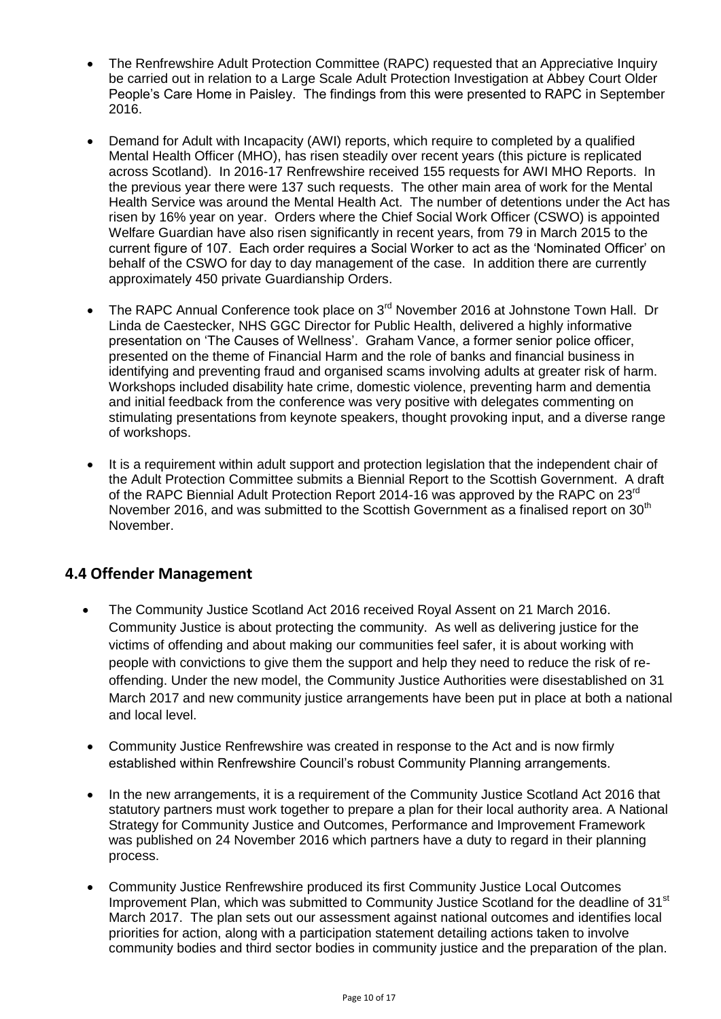- The Renfrewshire Adult Protection Committee (RAPC) requested that an Appreciative Inquiry be carried out in relation to a Large Scale Adult Protection Investigation at Abbey Court Older People's Care Home in Paisley. The findings from this were presented to RAPC in September 2016.
- Demand for Adult with Incapacity (AWI) reports, which require to completed by a qualified Mental Health Officer (MHO), has risen steadily over recent years (this picture is replicated across Scotland). In 2016-17 Renfrewshire received 155 requests for AWI MHO Reports. In the previous year there were 137 such requests. The other main area of work for the Mental Health Service was around the Mental Health Act. The number of detentions under the Act has risen by 16% year on year. Orders where the Chief Social Work Officer (CSWO) is appointed Welfare Guardian have also risen significantly in recent years, from 79 in March 2015 to the current figure of 107. Each order requires a Social Worker to act as the 'Nominated Officer' on behalf of the CSWO for day to day management of the case. In addition there are currently approximately 450 private Guardianship Orders.
- The RAPC Annual Conference took place on 3rd November 2016 at Johnstone Town Hall. Dr Linda de Caestecker, NHS GGC Director for Public Health, delivered a highly informative presentation on 'The Causes of Wellness'. Graham Vance, a former senior police officer, presented on the theme of Financial Harm and the role of banks and financial business in identifying and preventing fraud and organised scams involving adults at greater risk of harm. Workshops included disability hate crime, domestic violence, preventing harm and dementia and initial feedback from the conference was very positive with delegates commenting on stimulating presentations from keynote speakers, thought provoking input, and a diverse range of workshops.
- It is a requirement within adult support and protection legislation that the independent chair of the Adult Protection Committee submits a Biennial Report to the Scottish Government. A draft of the RAPC Biennial Adult Protection Report 2014-16 was approved by the RAPC on 23<sup>rd</sup> November 2016, and was submitted to the Scottish Government as a finalised report on 30<sup>th</sup> November.

## **4.4 Offender Management**

- The Community Justice Scotland Act 2016 received Royal Assent on 21 March 2016. Community Justice is about protecting the community. As well as delivering justice for the victims of offending and about making our communities feel safer, it is about working with people with convictions to give them the support and help they need to reduce the risk of reoffending. Under the new model, the Community Justice Authorities were disestablished on 31 March 2017 and new community justice arrangements have been put in place at both a national and local level.
- Community Justice Renfrewshire was created in response to the Act and is now firmly established within Renfrewshire Council's robust Community Planning arrangements.
- In the new arrangements, it is a requirement of the Community Justice Scotland Act 2016 that statutory partners must work together to prepare a plan for their local authority area. A National Strategy for Community Justice and Outcomes, Performance and Improvement Framework was published on 24 November 2016 which partners have a duty to regard in their planning process.
- Community Justice Renfrewshire produced its first Community Justice Local Outcomes Improvement Plan, which was submitted to Community Justice Scotland for the deadline of 31<sup>st</sup> March 2017. The plan sets out our assessment against national outcomes and identifies local priorities for action, along with a participation statement detailing actions taken to involve community bodies and third sector bodies in community justice and the preparation of the plan.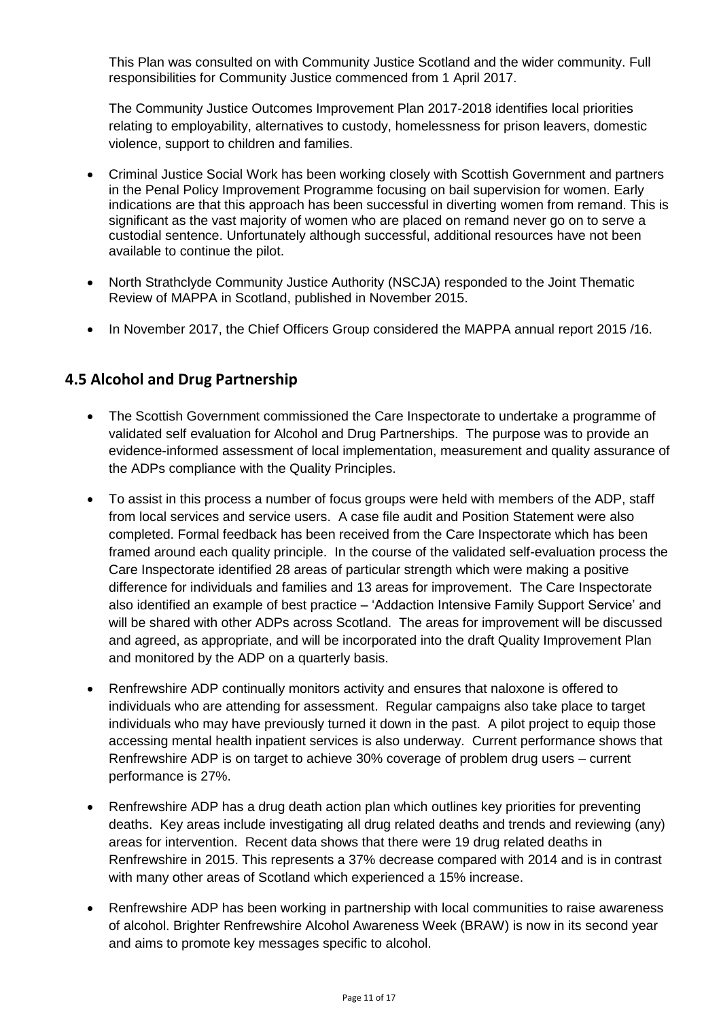This Plan was consulted on with Community Justice Scotland and the wider community. Full responsibilities for Community Justice commenced from 1 April 2017.

The Community Justice Outcomes Improvement Plan 2017-2018 identifies local priorities relating to employability, alternatives to custody, homelessness for prison leavers, domestic violence, support to children and families.

- Criminal Justice Social Work has been working closely with Scottish Government and partners in the Penal Policy Improvement Programme focusing on bail supervision for women. Early indications are that this approach has been successful in diverting women from remand. This is significant as the vast majority of women who are placed on remand never go on to serve a custodial sentence. Unfortunately although successful, additional resources have not been available to continue the pilot.
- North Strathclyde Community Justice Authority (NSCJA) responded to the Joint Thematic Review of MAPPA in Scotland, published in November 2015.
- In November 2017, the Chief Officers Group considered the MAPPA annual report 2015/16.

## **4.5 Alcohol and Drug Partnership**

- The Scottish Government commissioned the Care Inspectorate to undertake a programme of validated self evaluation for Alcohol and Drug Partnerships. The purpose was to provide an evidence-informed assessment of local implementation, measurement and quality assurance of the ADPs compliance with the Quality Principles.
- To assist in this process a number of focus groups were held with members of the ADP, staff from local services and service users. A case file audit and Position Statement were also completed. Formal feedback has been received from the Care Inspectorate which has been framed around each quality principle. In the course of the validated self-evaluation process the Care Inspectorate identified 28 areas of particular strength which were making a positive difference for individuals and families and 13 areas for improvement. The Care Inspectorate also identified an example of best practice – 'Addaction Intensive Family Support Service' and will be shared with other ADPs across Scotland. The areas for improvement will be discussed and agreed, as appropriate, and will be incorporated into the draft Quality Improvement Plan and monitored by the ADP on a quarterly basis.
- Renfrewshire ADP continually monitors activity and ensures that naloxone is offered to individuals who are attending for assessment. Regular campaigns also take place to target individuals who may have previously turned it down in the past. A pilot project to equip those accessing mental health inpatient services is also underway. Current performance shows that Renfrewshire ADP is on target to achieve 30% coverage of problem drug users – current performance is 27%.
- Renfrewshire ADP has a drug death action plan which outlines key priorities for preventing deaths. Key areas include investigating all drug related deaths and trends and reviewing (any) areas for intervention. Recent data shows that there were 19 drug related deaths in Renfrewshire in 2015. This represents a 37% decrease compared with 2014 and is in contrast with many other areas of Scotland which experienced a 15% increase.
- Renfrewshire ADP has been working in partnership with local communities to raise awareness of alcohol. Brighter Renfrewshire Alcohol Awareness Week (BRAW) is now in its second year and aims to promote key messages specific to alcohol.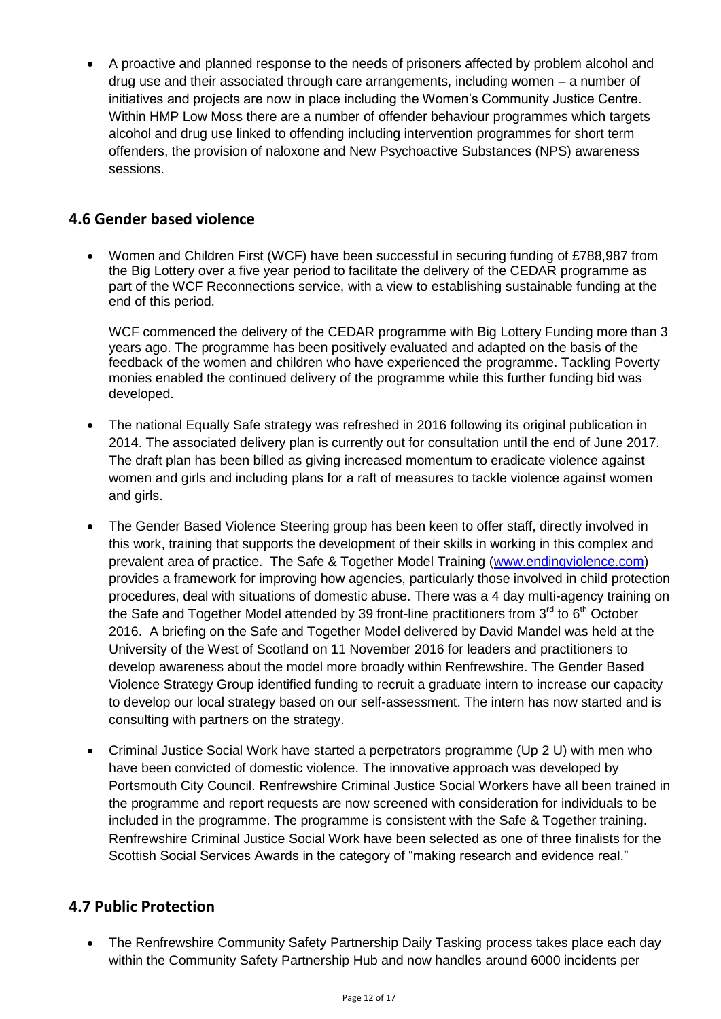A proactive and planned response to the needs of prisoners affected by problem alcohol and drug use and their associated through care arrangements, including women – a number of initiatives and projects are now in place including the Women's Community Justice Centre. Within HMP Low Moss there are a number of offender behaviour programmes which targets alcohol and drug use linked to offending including intervention programmes for short term offenders, the provision of naloxone and New Psychoactive Substances (NPS) awareness sessions.

## **4.6 Gender based violence**

 Women and Children First (WCF) have been successful in securing funding of £788,987 from the Big Lottery over a five year period to facilitate the delivery of the CEDAR programme as part of the WCF Reconnections service, with a view to establishing sustainable funding at the end of this period.

WCF commenced the delivery of the CEDAR programme with Big Lottery Funding more than 3 years ago. The programme has been positively evaluated and adapted on the basis of the feedback of the women and children who have experienced the programme. Tackling Poverty monies enabled the continued delivery of the programme while this further funding bid was developed.

- The national Equally Safe strategy was refreshed in 2016 following its original publication in 2014. The associated delivery plan is currently out for consultation until the end of June 2017. The draft plan has been billed as giving increased momentum to eradicate violence against women and girls and including plans for a raft of measures to tackle violence against women and girls.
- The Gender Based Violence Steering group has been keen to offer staff, directly involved in this work, training that supports the development of their skills in working in this complex and prevalent area of practice. The Safe & Together Model Training [\(www.endingviolence.com\)](http://www.endingviolence.com/) provides a framework for improving how agencies, particularly those involved in child protection procedures, deal with situations of domestic abuse. There was a 4 day multi-agency training on the Safe and Together Model attended by 39 front-line practitioners from  $3<sup>rd</sup>$  to  $6<sup>th</sup>$  October 2016. A briefing on the Safe and Together Model delivered by David Mandel was held at the University of the West of Scotland on 11 November 2016 for leaders and practitioners to develop awareness about the model more broadly within Renfrewshire. The Gender Based Violence Strategy Group identified funding to recruit a graduate intern to increase our capacity to develop our local strategy based on our self-assessment. The intern has now started and is consulting with partners on the strategy.
- Criminal Justice Social Work have started a perpetrators programme (Up 2 U) with men who have been convicted of domestic violence. The innovative approach was developed by Portsmouth City Council. Renfrewshire Criminal Justice Social Workers have all been trained in the programme and report requests are now screened with consideration for individuals to be included in the programme. The programme is consistent with the Safe & Together training. Renfrewshire Criminal Justice Social Work have been selected as one of three finalists for the Scottish Social Services Awards in the category of "making research and evidence real."

## **4.7 Public Protection**

• The Renfrewshire Community Safety Partnership Daily Tasking process takes place each day within the Community Safety Partnership Hub and now handles around 6000 incidents per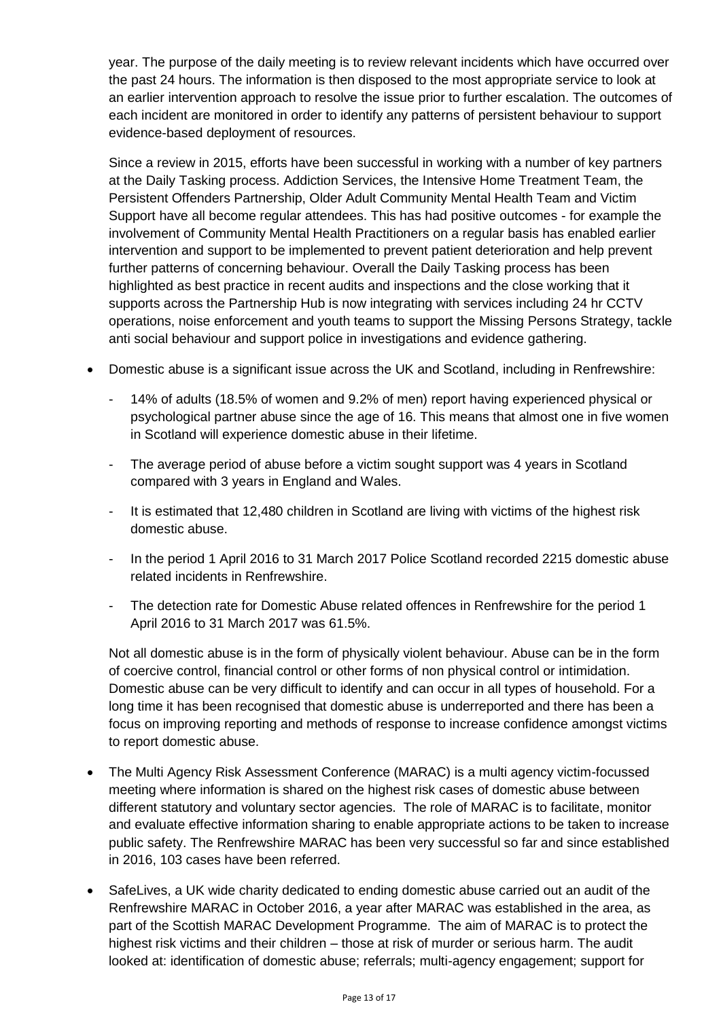year. The purpose of the daily meeting is to review relevant incidents which have occurred over the past 24 hours. The information is then disposed to the most appropriate service to look at an earlier intervention approach to resolve the issue prior to further escalation. The outcomes of each incident are monitored in order to identify any patterns of persistent behaviour to support evidence-based deployment of resources.

Since a review in 2015, efforts have been successful in working with a number of key partners at the Daily Tasking process. Addiction Services, the Intensive Home Treatment Team, the Persistent Offenders Partnership, Older Adult Community Mental Health Team and Victim Support have all become regular attendees. This has had positive outcomes - for example the involvement of Community Mental Health Practitioners on a regular basis has enabled earlier intervention and support to be implemented to prevent patient deterioration and help prevent further patterns of concerning behaviour. Overall the Daily Tasking process has been highlighted as best practice in recent audits and inspections and the close working that it supports across the Partnership Hub is now integrating with services including 24 hr CCTV operations, noise enforcement and youth teams to support the Missing Persons Strategy, tackle anti social behaviour and support police in investigations and evidence gathering.

- Domestic abuse is a significant issue across the UK and Scotland, including in Renfrewshire:
	- 14% of adults (18.5% of women and 9.2% of men) report having experienced physical or psychological partner abuse since the age of 16. This means that almost one in five women in Scotland will experience domestic abuse in their lifetime.
	- The average period of abuse before a victim sought support was 4 years in Scotland compared with 3 years in England and Wales.
	- It is estimated that 12,480 children in Scotland are living with victims of the highest risk domestic abuse.
	- In the period 1 April 2016 to 31 March 2017 Police Scotland recorded 2215 domestic abuse related incidents in Renfrewshire.
	- The detection rate for Domestic Abuse related offences in Renfrewshire for the period 1 April 2016 to 31 March 2017 was 61.5%.

Not all domestic abuse is in the form of physically violent behaviour. Abuse can be in the form of coercive control, financial control or other forms of non physical control or intimidation. Domestic abuse can be very difficult to identify and can occur in all types of household. For a long time it has been recognised that domestic abuse is underreported and there has been a focus on improving reporting and methods of response to increase confidence amongst victims to report domestic abuse.

- The Multi Agency Risk Assessment Conference (MARAC) is a multi agency victim-focussed meeting where information is shared on the highest risk cases of domestic abuse between different statutory and voluntary sector agencies. The role of MARAC is to facilitate, monitor and evaluate effective information sharing to enable appropriate actions to be taken to increase public safety. The Renfrewshire MARAC has been very successful so far and since established in 2016, 103 cases have been referred.
- SafeLives, a UK wide charity dedicated to ending domestic abuse carried out an audit of the Renfrewshire MARAC in October 2016, a year after MARAC was established in the area, as part of the Scottish MARAC Development Programme. The aim of MARAC is to protect the highest risk victims and their children – those at risk of murder or serious harm. The audit looked at: identification of domestic abuse; referrals; multi-agency engagement; support for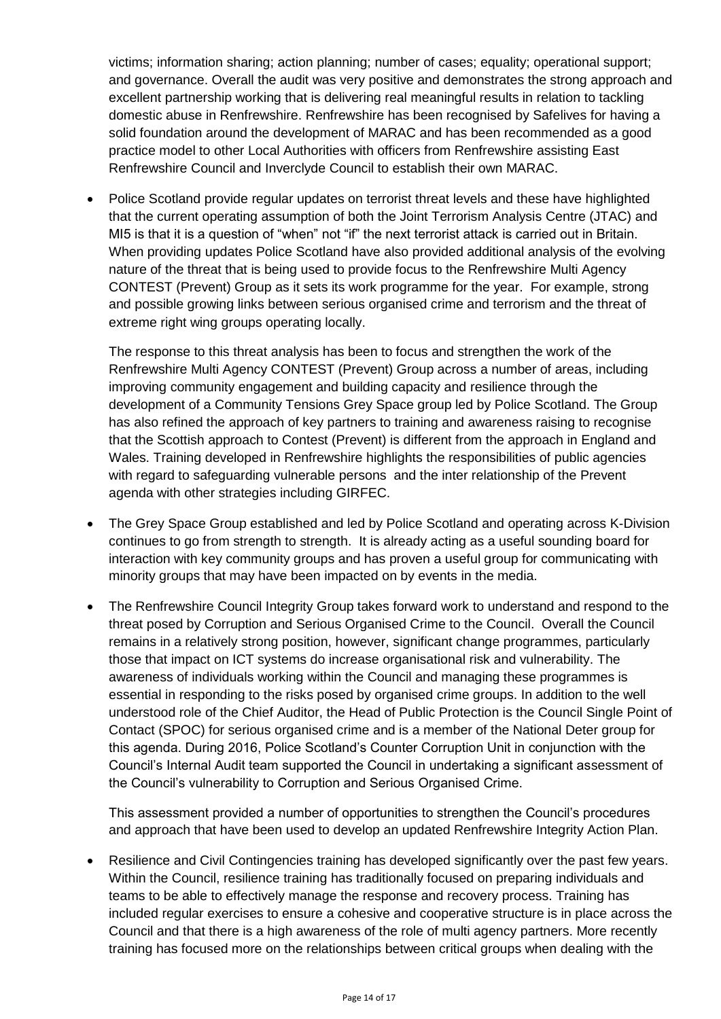victims; information sharing; action planning; number of cases; equality; operational support; and governance. Overall the audit was very positive and demonstrates the strong approach and excellent partnership working that is delivering real meaningful results in relation to tackling domestic abuse in Renfrewshire. Renfrewshire has been recognised by Safelives for having a solid foundation around the development of MARAC and has been recommended as a good practice model to other Local Authorities with officers from Renfrewshire assisting East Renfrewshire Council and Inverclyde Council to establish their own MARAC.

• Police Scotland provide regular updates on terrorist threat levels and these have highlighted that the current operating assumption of both the Joint Terrorism Analysis Centre (JTAC) and MI5 is that it is a question of "when" not "if" the next terrorist attack is carried out in Britain. When providing updates Police Scotland have also provided additional analysis of the evolving nature of the threat that is being used to provide focus to the Renfrewshire Multi Agency CONTEST (Prevent) Group as it sets its work programme for the year. For example, strong and possible growing links between serious organised crime and terrorism and the threat of extreme right wing groups operating locally.

The response to this threat analysis has been to focus and strengthen the work of the Renfrewshire Multi Agency CONTEST (Prevent) Group across a number of areas, including improving community engagement and building capacity and resilience through the development of a Community Tensions Grey Space group led by Police Scotland. The Group has also refined the approach of key partners to training and awareness raising to recognise that the Scottish approach to Contest (Prevent) is different from the approach in England and Wales. Training developed in Renfrewshire highlights the responsibilities of public agencies with regard to safeguarding vulnerable persons and the inter relationship of the Prevent agenda with other strategies including GIRFEC.

- The Grey Space Group established and led by Police Scotland and operating across K-Division continues to go from strength to strength. It is already acting as a useful sounding board for interaction with key community groups and has proven a useful group for communicating with minority groups that may have been impacted on by events in the media.
- The Renfrewshire Council Integrity Group takes forward work to understand and respond to the threat posed by Corruption and Serious Organised Crime to the Council. Overall the Council remains in a relatively strong position, however, significant change programmes, particularly those that impact on ICT systems do increase organisational risk and vulnerability. The awareness of individuals working within the Council and managing these programmes is essential in responding to the risks posed by organised crime groups. In addition to the well understood role of the Chief Auditor, the Head of Public Protection is the Council Single Point of Contact (SPOC) for serious organised crime and is a member of the National Deter group for this agenda. During 2016, Police Scotland's Counter Corruption Unit in conjunction with the Council's Internal Audit team supported the Council in undertaking a significant assessment of the Council's vulnerability to Corruption and Serious Organised Crime.

This assessment provided a number of opportunities to strengthen the Council's procedures and approach that have been used to develop an updated Renfrewshire Integrity Action Plan.

 Resilience and Civil Contingencies training has developed significantly over the past few years. Within the Council, resilience training has traditionally focused on preparing individuals and teams to be able to effectively manage the response and recovery process. Training has included regular exercises to ensure a cohesive and cooperative structure is in place across the Council and that there is a high awareness of the role of multi agency partners. More recently training has focused more on the relationships between critical groups when dealing with the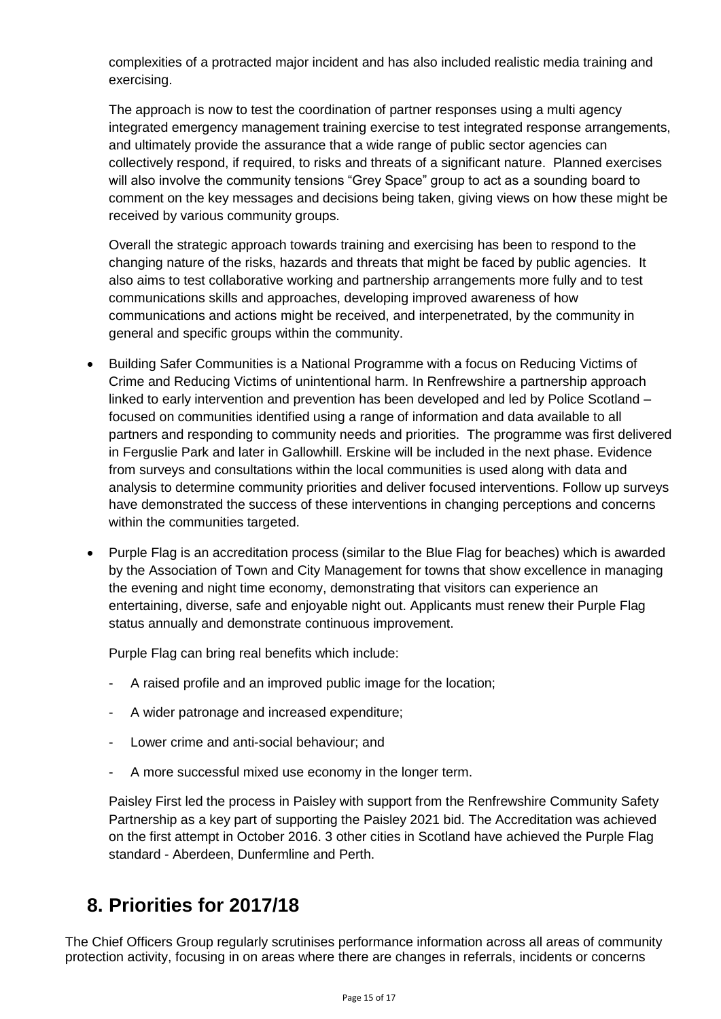complexities of a protracted major incident and has also included realistic media training and exercising.

The approach is now to test the coordination of partner responses using a multi agency integrated emergency management training exercise to test integrated response arrangements, and ultimately provide the assurance that a wide range of public sector agencies can collectively respond, if required, to risks and threats of a significant nature. Planned exercises will also involve the community tensions "Grey Space" group to act as a sounding board to comment on the key messages and decisions being taken, giving views on how these might be received by various community groups.

Overall the strategic approach towards training and exercising has been to respond to the changing nature of the risks, hazards and threats that might be faced by public agencies. It also aims to test collaborative working and partnership arrangements more fully and to test communications skills and approaches, developing improved awareness of how communications and actions might be received, and interpenetrated, by the community in general and specific groups within the community.

- Building Safer Communities is a National Programme with a focus on Reducing Victims of Crime and Reducing Victims of unintentional harm. In Renfrewshire a partnership approach linked to early intervention and prevention has been developed and led by Police Scotland – focused on communities identified using a range of information and data available to all partners and responding to community needs and priorities. The programme was first delivered in Ferguslie Park and later in Gallowhill. Erskine will be included in the next phase. Evidence from surveys and consultations within the local communities is used along with data and analysis to determine community priorities and deliver focused interventions. Follow up surveys have demonstrated the success of these interventions in changing perceptions and concerns within the communities targeted.
- Purple Flag is an accreditation process (similar to the Blue Flag for beaches) which is awarded by the Association of Town and City Management for towns that show excellence in managing the evening and night time economy, demonstrating that visitors can experience an entertaining, diverse, safe and enjoyable night out. Applicants must renew their Purple Flag status annually and demonstrate continuous improvement.

Purple Flag can bring real benefits which include:

- A raised profile and an improved public image for the location;
- A wider patronage and increased expenditure;
- Lower crime and anti-social behaviour; and
- A more successful mixed use economy in the longer term.

Paisley First led the process in Paisley with support from the Renfrewshire Community Safety Partnership as a key part of supporting the Paisley 2021 bid. The Accreditation was achieved on the first attempt in October 2016. 3 other cities in Scotland have achieved the Purple Flag standard - Aberdeen, Dunfermline and Perth.

# <span id="page-20-0"></span>**8. Priorities for 2017/18**

The Chief Officers Group regularly scrutinises performance information across all areas of community protection activity, focusing in on areas where there are changes in referrals, incidents or concerns